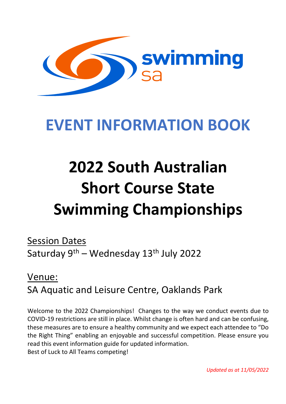

# **EVENT INFORMATION BOOK**

# **2022 South Australian Short Course State Swimming Championships**

Session Dates Saturday 9<sup>th</sup> – Wednesday 13<sup>th</sup> July 2022

# Venue: SA Aquatic and Leisure Centre, Oaklands Park

Welcome to the 2022 Championships! Changes to the way we conduct events due to COVID-19 restrictions are still in place. Whilst change is often hard and can be confusing, these measures are to ensure a healthy community and we expect each attendee to "Do the Right Thing" enabling an enjoyable and successful competition. Please ensure you read this event information guide for updated information. Best of Luck to All Teams competing!

*Updated as at 11/05/2022*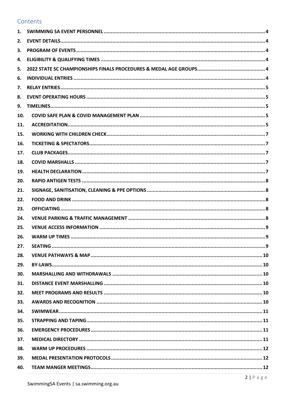# Contents

| 1.  |  |
|-----|--|
| 2.  |  |
| 3.  |  |
| 4.  |  |
| 5.  |  |
| 6.  |  |
| 7.  |  |
| 8.  |  |
| 9.  |  |
| 10. |  |
| 11. |  |
| 15. |  |
| 16. |  |
| 17. |  |
| 18. |  |
| 19. |  |
| 20. |  |
| 21. |  |
| 22. |  |
| 23. |  |
| 24. |  |
| 25. |  |
| 26. |  |
| 27. |  |
| 28. |  |
| 29. |  |
| 30. |  |
| 31. |  |
| 32. |  |
| 33. |  |
| 34. |  |
| 35. |  |
| 36. |  |
| 37. |  |
| 38. |  |
| 39. |  |
| 40. |  |
|     |  |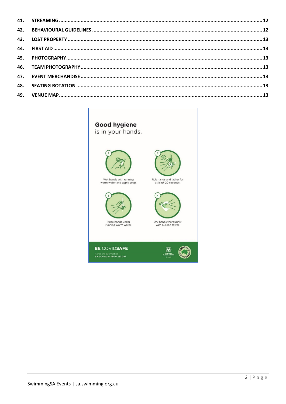# Good hygiene

is in your hands.



Wet hands with running<br>warm water and apply soap.



Rinse hands under<br>running warm water.





Dry hands thoroughly<br>with a clean towel.

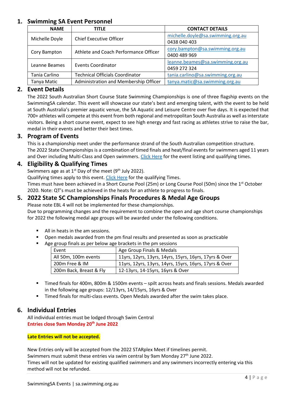# <span id="page-3-0"></span>**1. Swimming SA Event Personnel**

| <b>NAME</b>    | <b>TITLE</b>                           | <b>CONTACT DETAILS</b>                            |
|----------------|----------------------------------------|---------------------------------------------------|
| Michelle Doyle | <b>Chief Executive Officer</b>         | michelle.doyle@sa.swimming.org.au<br>0438 040 403 |
| Cory Bampton   | Athlete and Coach Performance Officer  | cory.bampton@sa.swimming.org.au<br>0400 489 969   |
| Leanne Beames  | <b>Events Coordinator</b>              | leanne.beames@sa.swimming.org.au<br>0459 272 324  |
| Tania Carlino  | <b>Technical Officials Coordinator</b> | tania.carlino@sa.swimming.org.au                  |
| Tanya Matic    | Administration and Membership Officer  | tanya.matic@sa.swimming.org.au                    |

# <span id="page-3-1"></span>**2. Event Details**

The 2022 South Australian Short Course State Swimming Championships is one of three flagship events on the SwimmingSA calendar. This event will showcase our state's best and emerging talent, with the event to be held at South Australia's premier aquatic venue, the SA Aquatic and Leisure Centre over five days. It is expected that 700+ athletes will compete at this event from both regional and metropolitan South Australia as well as interstate visitors. Being a short course event, expect to see high energy and fast racing as athletes strive to raise the bar, medal in their events and better their best times.

# <span id="page-3-2"></span>**3. Program of Events**

This is a championship meet under the performance strand of the South Australian competition structure. The 2022 State Championships is a combination of timed finals and heat/final events for swimmers aged 11 years and Over including Multi-Class and Open swimmers. [Click Here](https://sa.swimming.org.au/events/2022-sa-state-short-course-championships) for the event listing and qualifying times.

# <span id="page-3-3"></span>**4. Eligibility & Qualifying Times**

Swimmers age as at  $1^{st}$  Day of the meet (9<sup>th</sup> July 2022).

Qualifying times apply to this event[. Click Here](https://sa.swimming.org.au/events/2022-sa-state-short-course-championships) for the qualifying Times.

Times must have been achieved in a Short Course Pool (25m) or Long Course Pool (50m) since the 1<sup>st</sup> October 2020. Note: QT's must be achieved in the heats for an athlete to progress to finals.

# <span id="page-3-4"></span>**5. 2022 State SC Championships Finals Procedures & Medal Age Groups**

Please note EBL 4 will not be implemented for these championships.

Due to programming changes and the requirement to combine the open and age short course championships for 2022 the following medal age groups will be awarded under the following conditions.

- All in heats in the am sessions.
- Open medals awarded from the pm final results and presented as soon as practicable
- Age group finals as per below age brackets in the pm sessions

| Event                   | Age Group Finals & Medals                              |
|-------------------------|--------------------------------------------------------|
| All 50m, 100m events    | 11yrs, 12yrs, 13yrs, 14yrs, 15yrs, 16yrs, 17yrs & Over |
| 200m Free & IM          | 11yrs, 12yrs, 13yrs, 14yrs, 15yrs, 16yrs, 17yrs & Over |
| 200m Back, Breast & Fly | 12-13yrs, 14-15yrs, 16yrs & Over                       |

- Timed finals for 400m, 800m & 1500m events spilt across heats and finals sessions. Medals awarded in the following age groups: 12/13yrs, 14/15yrs, 16yrs & Over
- Timed finals for multi-class events. Open Medals awarded after the swim takes place.

# <span id="page-3-5"></span>**6. Individual Entries**

All individual entries must be lodged through Swim Central **Entries close 9am Monday 20th June 2022** 

#### **Late Entries will not be accepted.**

New Entries only will be accepted from the 2022 STARplex Meet if timelines permit.

Swimmers must submit these entries via swim central by 9am Monday  $27<sup>th</sup>$  June 2022.

Times will not be updated for existing qualified swimmers and any swimmers incorrectly entering via this method will not be refunded.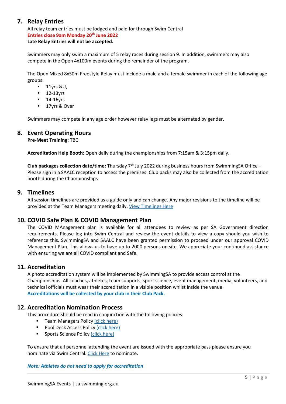# <span id="page-4-0"></span>**7. Relay Entries**

All relay team entries must be lodged and paid for through Swim Central **Entries close 9am Monday 20th June 2022 Late Relay Entries will not be accepted.**

Swimmers may only swim a maximum of 5 relay races during session 9. In addition, swimmers may also compete in the Open 4x100m events during the remainder of the program.

The Open Mixed 8x50m Freestyle Relay must include a male and a female swimmer in each of the following age groups:

- $11$ yrs &U,
- $-12-13yrs$
- $-14-16$ yrs
- 17yrs & Over

Swimmers may compete in any age order however relay legs must be alternated by gender.

#### <span id="page-4-1"></span>**8. Event Operating Hours**

**Pre-Meet Training:** TBC

**Accreditation Help Booth**: Open daily during the championships from 7:15am & 3:15pm daily.

**Club packages collection date/time:** Thursday 7th July 2022 during business hours from SwimmingSA Office – Please sign in a SAALC reception to access the premises. Club packs may also be collected from the accreditation booth during the Championships.

#### <span id="page-4-2"></span>**9. Timelines**

All session timelines are provided as a guide only and can change. Any major revisions to the timeline will be provided at the Team Managers meeting daily[. View Timelines Here](https://sa.swimming.org.au/events/2022-sa-state-short-course-championships)

# <span id="page-4-3"></span>**10. COVID Safe Plan & COVID Management Plan**

The COVID MAnagement plan is available for all attendees to review as per SA Government direction requirements. Please log into Swim Central and review the event details to view a copy should you wish to reference this. SwimmingSA and SAALC have been granted permission to proceed under our approval COVID Management Plan. This allows us to have up to 2000 persons on site. We appreciate your continued assistance with ensuring we are all COVID compliant and Safe.

# <span id="page-4-4"></span>**11. Accreditation**

A photo accreditation system will be implemented by SwimmingSA to provide access control at the Championships. All coaches, athletes, team supports, sport science, event management, media, volunteers, and technical officials must wear their accreditation in a visible position whilst inside the venue. **Accreditations will be collected by your club in their Club Pack.**

# **12. Accreditation Nomination Process**

This procedure should be read in conjunction with the following policies:

- **Team Managers Policy (click here)**
- Pool Deck Access Policy [\(click here\)](https://sa.swimming.org.au/sites/default/files/assets/documents/5012%20-%20Pool%20Deck%20Access%20Policy%20-%2025%2008%202017.pdf)
- Sports Science Policy [\(click here\)](https://sa.swimming.org.au/sites/default/files/assets/documents/5017%20-%20Sports%20Science%20Sports%20Medicine%20Policy%20-%2009%2012%202016.pdf)

To ensure that all personnel attending the event are issued with the appropriate pass please ensure you nominate via Swim Central. [Click Here](https://swimcentral.swimming.org.au/bounce?returnUrl=%2Fevents%2F92293151-2e40-4eab-8d70-944e0530d3cf%2Fpositions) to nominate.

#### *Note: Athletes do not need to apply for accreditation*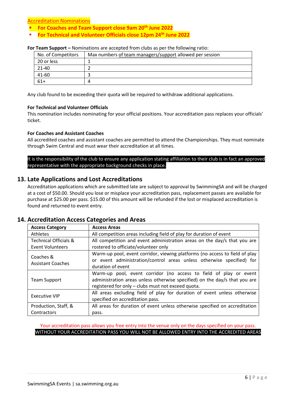Accreditation Nominations

- **For Coaches and Team Support close 9am 20th June 2022**
- **For Technical and Volunteer Officials close 12pm 24th June 2022**

#### **For Team Support –** Nominations are accepted from clubs as per the following ratio:

| No. of Competitors | Max numbers of team managers/support allowed per session |
|--------------------|----------------------------------------------------------|
| 20 or less         |                                                          |
| 21-40              |                                                          |
| 41-60              |                                                          |
| $61+$              |                                                          |

Any club found to be exceeding their quota will be required to withdraw additional applications.

#### **For Technical and Volunteer Officials**

This nomination includes nominating for your official positions. Your accreditation pass replaces your officials' ticket.

#### **For Coaches and Assistant Coaches**

All accredited coaches and assistant coaches are permitted to attend the Championships. They must nominate through Swim Central and must wear their accreditation at all times.

#### It is the responsibility of the club to ensure any application stating affiliation to their club is in fact an approved representative with the appropriate background checks in place.

# **13. Late Applications and Lost Accreditations**

Accreditation applications which are submitted late are subject to approval by SwimmingSA and will be charged at a cost of \$50.00. Should you lose or misplace your accreditation pass, replacement passes are available for purchase at \$25.00 per pass. \$15.00 of this amount will be refunded if the lost or misplaced accreditation is found and returned to event entry.

#### **14. Accreditation Access Categories and Areas**

| <b>Access Category</b>                | <b>Access Areas</b>                                                                                                                                                                                   |
|---------------------------------------|-------------------------------------------------------------------------------------------------------------------------------------------------------------------------------------------------------|
| Athletes                              | All competition areas including field of play for duration of event                                                                                                                                   |
| <b>Technical Officials &amp;</b>      | All competition and event administration areas on the day/s that you are                                                                                                                              |
| <b>Event Volunteers</b>               | rostered to officiate/volunteer only                                                                                                                                                                  |
| Coaches &<br><b>Assistant Coaches</b> | Warm-up pool, event corridor, viewing platforms (no access to field of play<br>or event administration/control areas unless otherwise specified) for<br>duration of event                             |
| Team Support                          | Warm-up pool, event corridor (no access to field of play or event<br>administration areas unless otherwise specified) on the day/s that you are<br>registered for only - clubs must not exceed quota. |
| <b>Executive VIP</b>                  | All areas excluding field of play for duration of event unless otherwise<br>specified on accreditation pass.                                                                                          |
| Production, Staff, &                  | All areas for duration of event unless otherwise specified on accreditation                                                                                                                           |
| Contractors                           | pass.                                                                                                                                                                                                 |

<span id="page-5-0"></span>Your accreditation pass allows you free entry into the venue only on the days specified on your pass. WITHOUT YOUR ACCREDITATION PASS YOU WILL NOT BE ALLOWED ENTRY INTO THE ACCREDITED AREAS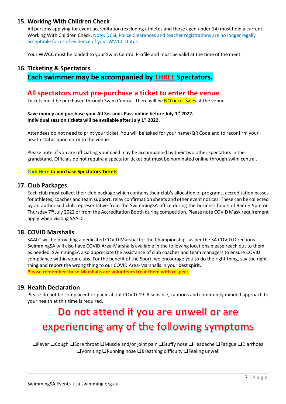# **15. Working With Children Check**

All persons applying for event accreditation (excluding athletes and those aged under 14) must hold a current Working With Children Check. Note: DCSI, Police Clearances and teacher registrations are no longer legally acceptable forms of evidence of your WWCC status.

Your WWCC must be loaded to your Swim Central Profile and must be valid at the time of the meet.

# <span id="page-6-0"></span>**16. Ticketing & Spectators Each swimmer may be accompanied by THREE Spectators.**

# **All spectators must pre-purchase a ticket to enter the venue.**<br>Tickets must be purchased through Swim Central. There will be NO ticket Sales at the venue.

#### **Save money and purchase your All Sessions Pass online before July 1st 2022. Individual session tickets will be available after July 1st 2022.**

Attendees do not need to print your ticket. You will be asked for your name/QR Code and to reconfirm your health status upon entry to the venue.

Please note: if you are officiating your child may be accompanied by their two other spectators in the grandstand. Officials do not require a spectator ticket but must be nominated online through swim central.

#### **[Click Here](https://swimcentral.swimming.org.au/bounce?returnUrl=%2Fevents%2F92293151-2e40-4eab-8d70-944e0530d3cf%2Ftickets) to purchase Spectators Tickets**

#### <span id="page-6-1"></span>**17. Club Packages**

Each club must collect their club package which contains their club's allocation of programs, accreditation passes for athletes, coaches and team support, relay confirmation sheets and other event notices. These can be collected by an authorised club representative from the SwimmingSA office during the business hours of 9am – 5pm on Thursday 7<sup>th</sup> July 2022 or from the Accreditation Booth during competition. Please note COVID Mask requirement apply when visiting SAALC.

# <span id="page-6-2"></span>**18. COVID Marshalls**

SAALC will be providing a dedicated COVID Marshal for the Championships as per the SA COVID Directions. SwimmingSA will also have COVID Area-Marshalls available in the following locations please reach out to them as needed. SwimmingSA also appreciate the assistance of club coaches and team managers to ensure COVID compliance within your clubs. For the benefit of the Sport, we encourage you to do the right thing, say the right thing and report the wrong thing to our COVID Area-Marshalls in your best spirit. **Please remember these Marshalls are volunteers treat them with respect.**

# <span id="page-6-3"></span>**19. Health Declaration**

Please do not be complacent or panic about COVID-19. A sensible, cautious and community minded approach to your health at this time is required.

# Do not attend if you are unwell or are experiencing any of the following symptoms

❑Fever ❑Cough ❑Sore throat ❑Muscle and/or joint pain ❑Stuffy nose ❑Headache ❑Fatigue ❑Diarrhoea ❑Vomiting ❑Running nose ❑Breathing difficulty ❑Feeling unwell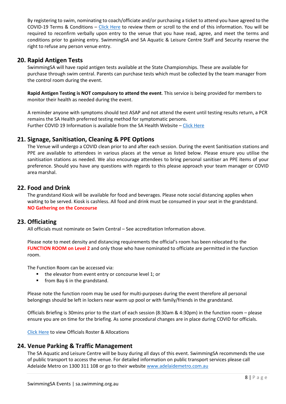By registering to swim, nominating to coach/officiate and/or purchasing a ticket to attend you have agreed to the COVID-19 Terms & Conditions – [Click Here](https://sa.swimming.org.au/sites/default/files/assets/documents/9004%20-%20Terms%20and%20Conditions%20Membership%20-%20COVID-19%20Addendum_0.pdf) to review them or scroll to the end of this information. You will be required to reconfirm verbally upon entry to the venue that you have read, agree, and meet the terms and conditions prior to gaining entry. SwimmingSA and SA Aquatic & Leisure Centre Staff and Security reserve the right to refuse any person venue entry.

# <span id="page-7-0"></span>**20. Rapid Antigen Tests**

SwimmingSA will have rapid antigen tests available at the State Championships. These are available for purchase through swim central. Parents can purchase tests which must be collected by the team manager from the control room during the event.

**Rapid Antigen Testing is NOT compulsory to attend the event**. This service is being provided for members to monitor their health as needed during the event.

A reminder anyone with symptoms should test ASAP and not attend the event until testing results return, a PCR remains the SA Health preferred testing method for symptomatic persons. Further COVID 19 Information is available from the SA Health Website [– Click Here](https://www.sahealth.sa.gov.au/wps/wcm/connect/public+content/sa+health+internet/conditions/infectious+diseases/covid-19/covid-19)

# <span id="page-7-1"></span>**21. Signage, Sanitisation, Cleaning & PPE Options**

The Venue will undergo a COVID clean prior to and after each session. During the event Sanitisation stations and PPE are available to attendees in various places at the venue as listed below. Please ensure you utilise the sanitisation stations as needed. We also encourage attendees to bring personal sanitiser an PPE items of your preference. Should you have any questions with regards to this please approach your team manager or COVID area marshal.

# <span id="page-7-2"></span>**22. Food and Drink**

The grandstand Kiosk will be available for food and beverages. Please note social distancing applies when waiting to be served. Kiosk is cashless. All food and drink must be consumed in your seat in the grandstand. **NO Gathering on the Concourse**

# <span id="page-7-3"></span>**23. Officiating**

All officials must nominate on Swim Central – See accreditation Information above.

Please note to meet density and distancing requirements the official's room has been relocated to the **FUNCTION ROOM on Level 2** and only those who have nominated to officiate are permitted in the function room.

The Function Room can be accessed via:

- **the elevator from event entry or concourse level 1; or**
- **Fig. 5 From Bay 6 in the grandstand.**

Please note the function room may be used for multi-purposes during the event therefore all personal belongings should be left in lockers near warm up pool or with family/friends in the grandstand.

Officials Briefing is 30mins prior to the start of each session (8:30am & 4:30pm) in the function room – please ensure you are on time for the briefing. As some procedural changes are in place during COVID for officials.

[Click Here](https://sa.swimming.org.au/events/2022-sa-state-short-course-championships) to view Officials Roster & Allocations

# <span id="page-7-4"></span>**24. Venue Parking & Traffic Management**

The SA Aquatic and Leisure Centre will be busy during all days of this event. SwimmingSA recommends the use of public transport to access the venue. For detailed information on public transport services please call Adelaide Metro on 1300 311 108 or go to their website [www.adelaidemetro.com.au](http://www.adelaidemetro.com.au/)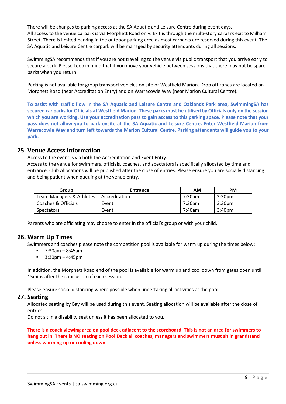There will be changes to parking access at the SA Aquatic and Leisure Centre during event days. All access to the venue carpark is via Morphett Road only. Exit is through the multi-story carpark exit to Milham Street. There is limited parking in the outdoor parking area as most carparks are reserved during this event. The SA Aquatic and Leisure Centre carpark will be managed by security attendants during all sessions.

SwimmingSA recommends that if you are not travelling to the venue via public transport that you arrive early to secure a park. Please keep in mind that if you move your vehicle between sessions that there may not be spare parks when you return.

Parking is not available for group transport vehicles on site or Westfield Marion. Drop off zones are located on Morphett Road (near Accreditation Entry) and on Warracowie Way (near Marion Cultural Centre).

**To assist with traffic flow in the SA Aquatic and Leisure Centre and Oaklands Park area, SwimmingSA has secured car parks for Officials at Westfield Marion. These parks must be utilised by Officials only on the session which you are working. Use your accreditation pass to gain access to this parking space. Please note that your pass does not allow you to park onsite at the SA Aquatic and Leisure Centre. Enter Westfield Marion from Warracowie Way and turn left towards the Marion Cultural Centre, Parking attendants will guide you to your park.**

#### <span id="page-8-0"></span>**25. Venue Access Information**

Access to the event is via both the Accreditation and Event Entry.

Access to the venue for swimmers, officials, coaches, and spectators is specifically allocated by time and entrance. Club Allocations will be published after the close of entries. Please ensure you are socially distancing and being patient when queuing at the venue entry.

| Group                    | <b>Entrance</b> | ΑM     | <b>PM</b>          |
|--------------------------|-----------------|--------|--------------------|
| Team Managers & Athletes | Accreditation   | 7:30am | 3:30 <sub>pm</sub> |
| Coaches & Officials      | Event           | 7:30am | 3:30 <sub>pm</sub> |
| <b>Spectators</b>        | Event           | 7:40am | 3:40 <sub>pm</sub> |

Parents who are officiating may choose to enter in the official's group or with your child.

# <span id="page-8-1"></span>**26. Warm Up Times**

Swimmers and coaches please note the competition pool is available for warm up during the times below:

- 7:30am 8:45am
- $\blacksquare$  3:30pm 4:45pm

In addition, the Morphett Road end of the pool is available for warm up and cool down from gates open until 15mins after the conclusion of each session.

Please ensure social distancing where possible when undertaking all activities at the pool.

#### <span id="page-8-2"></span>**27. Seating**

Allocated seating by Bay will be used during this event. Seating allocation will be available after the close of entries.

Do not sit in a disability seat unless it has been allocated to you.

<span id="page-8-3"></span>**There is a coach viewing area on pool deck adjacent to the scoreboard. This is not an area for swimmers to hang out in. There is NO seating on Pool Deck all coaches, managers and swimmers must sit in grandstand unless warming up or cooling down.**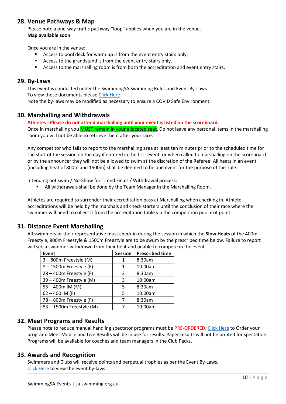# **28. Venue Pathways & Map**

Please note a one-way traffic pathway "loop" applies when you are in the venue. **Map available soon**

Once you are in the venue:

- Access to pool deck for warm up is from the event entry stairs only.
- Access to the grandstand is from the event entry stairs only.
- Access to the marshalling room is from both the accreditation and event entry stairs.

#### <span id="page-9-0"></span>**29. By-Laws**

This event is conducted under the SwimmingSA Swimming Rules and Event By-Laws. To view these documents please [Click Here](https://sa.swimming.org.au/sites/default/files/assets/documents/SSA%20Event%20By-Laws%20-%20May%202021.pdf) Note the by-laws may be modified as necessary to ensure a COVID Safe Environment.

#### <span id="page-9-1"></span>**30. Marshalling and Withdrawals**

#### **Athletes - Please do not attend marshalling until your event is listed on the scoreboard.**

Once in marshalling you **MUST remain in your allocated seat**. Do not leave any personal items in the marshalling room you will not be able to retrieve them after your race.

Any competitor who fails to report to the marshalling area at least ten minutes prior to the scheduled time for the start of the session on the day if entered in the first event, or when called to marshalling on the scoreboard or by the announcer they will not be allowed to swim at the discretion of the Referee. All heats in an event (including heat of 800m and 1500m) shall be deemed to be one event for the purpose of this rule.

Intending not swim / No-Show for Timed Finals / Withdrawal process:

All withdrawals shall be done by the Team Manager in the Marshalling Room.

Athletes are required to surrender their accreditation pass at Marshalling when checking in. Athlete accreditations will be held by the marshals and check starters until the conclusion of their race where the swimmer will need to collect it from the accreditation table via the competition pool exit point.

# <span id="page-9-2"></span>**31. Distance Event Marshalling**

All swimmers or their representative must check in during the session in which the **Slow Heats** of the 400m Freestyle, 800m Freestyle & 1500m Freestyle are to be swum by the prescribed time below. Failure to report will see a swimmer withdrawn from their heat and unable to compete in the event.

| Event                      | <b>Session</b> | <b>Prescribed time</b> |
|----------------------------|----------------|------------------------|
| 3 - 800m Freestyle (M)     | 1              | 8:30am                 |
| 8 - 1500m Freestyle (F)    | 1              | 10:00am                |
| $28 - 400$ m Freestyle (F) | 3              | 8:30am                 |
| 39 - 400m Freestyle (M)    | 3              | 10:00am                |
| $55 - 400$ m IM (M)        | 5              | 8:30am                 |
| $62 - 400$ IM (F)          | 5              | 10:00am                |
| 78 - 800m Freestyle (F)    | 7              | 8:30am                 |
| 83 - 1500m Freestyle (M)   | 7              | 10:00am                |

# <span id="page-9-3"></span>**32. Meet Programs and Results**

Please note to reduce manual handling spectator programs must be PRE-ORDERED. [Click Here](https://swimcentral.swimming.org.au/bounce?returnUrl=%2Fevents%2F92293151-2e40-4eab-8d70-944e0530d3cf%2Ftickets) to Order your program. Meet Mobile and Live Results will be in use for results. Paper results will not be printed for spectators. Programs will be available for coaches and team managers in the Club Packs.

#### <span id="page-9-4"></span>**33. Awards and Recognition**

Swimmers and Clubs will receive points and perpetual trophies as per the Event By-Laws. [Click Here](https://sa.swimming.org.au/sites/default/files/assets/documents/SSA%20Event%20By-Laws%20-%20May%202021.pdf) to view the event by-laws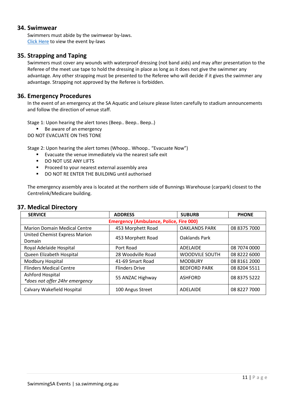#### <span id="page-10-0"></span>**34. Swimwear**

Swimmers must abide by the swimwear by-laws. [Click Here](https://sa.swimming.org.au/sites/default/files/assets/documents/SSA%20Event%20By-Laws%20-%20May%202021.pdf) to view the event by-laws

# <span id="page-10-1"></span>**35. Strapping and Taping**

Swimmers must cover any wounds with waterproof dressing (not band aids) and may after presentation to the Referee of the meet use tape to hold the dressing in place as long as it does not give the swimmer any advantage. Any other strapping must be presented to the Referee who will decide if it gives the swimmer any advantage. Strapping not approved by the Referee is forbidden.

#### <span id="page-10-2"></span>**36. Emergency Procedures**

In the event of an emergency at the SA Aquatic and Leisure please listen carefully to stadium announcements and follow the direction of venue staff.

Stage 1: Upon hearing the alert tones (Beep.. Beep.. Beep..)

■ Be aware of an emergency

DO NOT EVACUATE ON THIS TONE

Stage 2: Upon hearing the alert tomes (Whoop.. Whoop.. "Evacuate Now")

- Evacuate the venue immediately via the nearest safe exit
- **DO NOT USE ANY LIFTS**
- **Proceed to your nearest external assembly area**
- DO NOT RE ENTER THE BUILDING until authorised

The emergency assembly area is located at the northern side of Bunnings Warehouse (carpark) closest to the Centrelink/Medicare building.

# <span id="page-10-3"></span>**37. Medical Directory**

<span id="page-10-4"></span>

| <b>SERVICE</b>                                     | <b>ADDRESS</b>        | <b>SUBURB</b>         | <b>PHONE</b> |
|----------------------------------------------------|-----------------------|-----------------------|--------------|
| <b>Emergency (Ambulance, Police, Fire 000)</b>     |                       |                       |              |
| <b>Marion Domain Medical Centre</b>                | 453 Morphett Road     | <b>OAKLANDS PARK</b>  | 08 8375 7000 |
| United Chemist Express Marion<br>Domain            | 453 Morphett Road     | Oaklands Park         |              |
| Royal Adelaide Hospital                            | Port Road             | ADELAIDE              | 08 7074 0000 |
| Queen Elizabeth Hospital                           | 28 Woodville Road     | <b>WOODVILE SOUTH</b> | 08 8222 6000 |
| Modbury Hospital                                   | 41-69 Smart Road      | <b>MODBURY</b>        | 08 8161 2000 |
| <b>Flinders Medical Centre</b>                     | <b>Flinders Drive</b> | <b>BEDFORD PARK</b>   | 08 8204 5511 |
| Ashford Hospital<br>*does not offer 24hr emergency | 55 ANZAC Highway      | <b>ASHFORD</b>        | 08 8375 5222 |
| Calvary Wakefield Hospital                         | 100 Angus Street      | ADELAIDE              | 08 8227 7000 |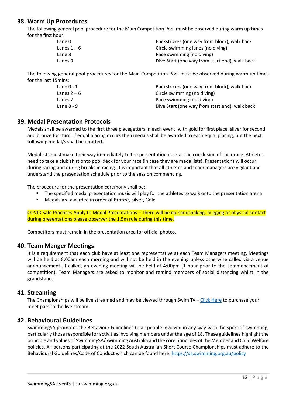# **38. Warm Up Procedures**

The following general pool procedure for the Main Competition Pool must be observed during warm up times for the first hour:

| Lane 0      | Backstrokes (one way from block), walk back    |
|-------------|------------------------------------------------|
| Lanes 1 – 6 | Circle swimming lanes (no diving)              |
| Lane 8      | Pace swimming (no diving)                      |
| Lanes 9     | Dive Start (one way from start end), walk back |

The following general pool procedures for the Main Competition Pool must be observed during warm up times for the last 15mins:

| Lane 0 - 1  | Backstrokes (one way from block), walk back    |
|-------------|------------------------------------------------|
| Lanes 2 – 6 | Circle swimming (no diving)                    |
| Lanes 7     | Pace swimming (no diving)                      |
| Lane 8 - 9  | Dive Start (one way from start end), walk back |

#### <span id="page-11-0"></span>**39. Medal Presentation Protocols**

Medals shall be awarded to the first three placegetters in each event, with gold for first place, silver for second and bronze for third. If equal placing occurs then medals shall be awarded to each equal placing, but the next following medal/s shall be omitted.

Medallists must make their way immediately to the presentation desk at the conclusion of their race. Athletes need to take a club shirt onto pool deck for your race (in case they are medallists). Presentations will occur during racing and during breaks in racing. It is important that all athletes and team managers are vigilant and understand the presentation schedule prior to the session commencing.

The procedure for the presentation ceremony shall be:

- The specified medal presentation music will play for the athletes to walk onto the presentation arena
- Medals are awarded in order of Bronze, Silver, Gold

COVID Safe Practices Apply to Medal Presentations – There will be no handshaking, hugging or physical contact during presentations please observer the 1.5m rule during this time.

Competitors must remain in the presentation area for official photos.

#### <span id="page-11-1"></span>**40. Team Manger Meetings**

It is a requirement that each club have at least one representative at each Team Managers meeting. Meetings will be held at 8:00am each morning and will not be held in the evening unless otherwise called via a venue announcement. If called, an evening meeting will be held at 4:00pm (1 hour prior to the commencement of competition). Team Managers are asked to monitor and remind members of social distancing whilst in the grandstand.

#### <span id="page-11-2"></span>**41. Streaming**

The Championships will be live streamed and may be viewed through Swim Tv – [Click Here](https://swimtv.com.au/) to purchase your meet pass to the live stream.

#### <span id="page-11-3"></span>**42. Behavioural Guidelines**

SwimmingSA promotes the Behaviour Guidelines to all people involved in any way with the sport of swimming, particularly those responsible for activities involving members under the age of 18. These guidelines highlight the principle and values of SwimmingSA/Swimming Australia and the core principles of the Member and Child Welfare policies. All persons participating at the 2022 South Australian Short Course Championships must adhere to the Behavioural Guidelines/Code of Conduct which can be found here:<https://sa.swimming.org.au/policy>